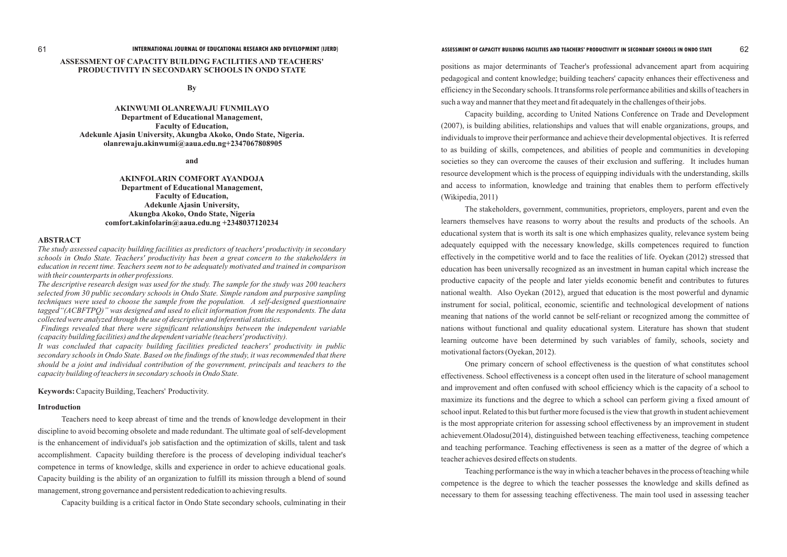# **ASSESSMENT OF CAPACITY BUILDING FACILITIES AND TEACHERS' PRODUCTIVITY IN SECONDARY SCHOOLS IN ONDO STATE**

**By**

**AKINWUMI OLANREWAJU FUNMILAYO Department of Educational Management, Faculty of Education, Adekunle Ajasin University, Akungba Akoko, Ondo State, Nigeria. olanrewaju.akinwumi@aaua.edu.ng+2347067808905**

**and**

**AKINFOLARIN COMFORT AYANDOJA Department of Educational Management, Faculty of Education, Adekunle Ajasin University, Akungba Akoko, Ondo State, Nigeria comfort.akinfolarin@aaua.edu.ng +2348037120234**

#### **ABSTRACT**

*The study assessed capacity building facilities as predictors of teachers' productivity in secondary schools in Ondo State. Teachers' productivity has been a great concern to the stakeholders in education in recent time. Teachers seem not to be adequately motivated and trained in comparison with their counterparts in other professions.*

*The descriptive research design was used for the study. The sample for the study was 200 teachers selected from 30 public secondary schools in Ondo State. Simple random and purposive sampling techniques were used to choose the sample from the population. A self-designed questionnaire tagged"(ACBFTPQ)" was designed and used to elicit information from the respondents. The data collected were analyzed through the use of descriptive and inferential statistics.* 

*Findings revealed that there were significant relationships between the independent variable (capacity building facilities) and the dependent variable (teachers' productivity).* 

*It was concluded that capacity building facilities predicted teachers' productivity in public secondary schools in Ondo State. Based on the findings of the study, it was recommended that there should be a joint and individual contribution of the government, principals and teachers to the capacity building of teachers in secondary schools in Ondo State.*

**Keywords:**Capacity Building, Teachers' Productivity.

#### **Introduction**

Teachers need to keep abreast of time and the trends of knowledge development in their discipline to avoid becoming obsolete and made redundant. The ultimate goal of self-development is the enhancement of individual's job satisfaction and the optimization of skills, talent and task accomplishment. Capacity building therefore is the process of developing individual teacher's competence in terms of knowledge, skills and experience in order to achieve educational goals. Capacity building is the ability of an organization to fulfill its mission through a blend of sound management, strong governance and persistent rededication to achieving results.

Capacity building is a critical factor in Ondo State secondary schools, culminating in their

positions as major determinants of Teacher's professional advancement apart from acquiring pedagogical and content knowledge; building teachers' capacity enhances their effectiveness and efficiency in the Secondary schools. It transforms role performance abilities and skills of teachers in such a way and manner that they meet and fit adequately in the challenges of their jobs.

Capacity building, according to United Nations Conference on Trade and Development (2007), is building abilities, relationships and values that will enable organizations, groups, and individuals to improve their performance and achieve their developmental objectives. It is referred to as building of skills, competences, and abilities of people and communities in developing societies so they can overcome the causes of their exclusion and suffering. It includes human resource development which is the process of equipping individuals with the understanding, skills and access to information, knowledge and training that enables them to perform effectively (Wikipedia, 2011)

The stakeholders, government, communities, proprietors, employers, parent and even the learners themselves have reasons to worry about the results and products of the schools. An educational system that is worth its salt is one which emphasizes quality, relevance system being adequately equipped with the necessary knowledge, skills competences required to function effectively in the competitive world and to face the realities of life. Oyekan (2012) stressed that education has been universally recognized as an investment in human capital which increase the productive capacity of the people and later yields economic benefit and contributes to futures national wealth. Also Oyekan (2012), argued that education is the most powerful and dynamic instrument for social, political, economic, scientific and technological development of nations meaning that nations of the world cannot be self-reliant or recognized among the committee of nations without functional and quality educational system. Literature has shown that student learning outcome have been determined by such variables of family, schools, society and motivational factors (Oyekan, 2012).

One primary concern of school effectiveness is the question of what constitutes school effectiveness. School effectiveness is a concept often used in the literature of school management and improvement and often confused with school efficiency which is the capacity of a school to maximize its functions and the degree to which a school can perform giving a fixed amount of school input. Related to this but further more focused is the view that growth in student achievement is the most appropriate criterion for assessing school effectiveness by an improvement in student achievement.Oladosu(2014), distinguished between teaching effectiveness, teaching competence and teaching performance. Teaching effectiveness is seen as a matter of the degree of which a teacher achieves desired effects on students.

Teaching performance is the way in which a teacher behaves in the process of teaching while competence is the degree to which the teacher possesses the knowledge and skills defined as necessary to them for assessing teaching effectiveness. The main tool used in assessing teacher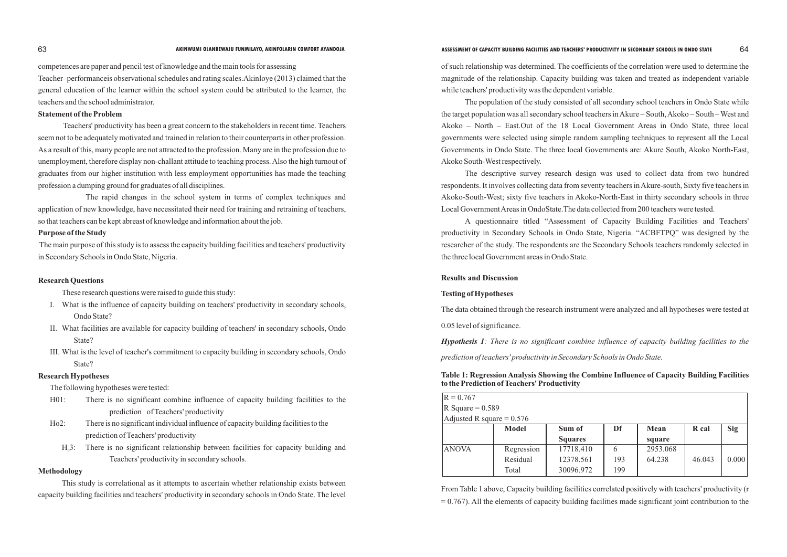#### **63** AKINWUMI OLANREWAJU FUNMILAYO, AKINFOLARIN COMFORT AYANDOJA **ASSESSMENT OF CAPACITY BUILDING FACILITIES AND TEACHERS' PRODUCTIVITY IN SECONDARY SCHOOLS IN ONDO STATE** 64

competences are paper and pencil test of knowledge and the main tools for assessing Teacher–performanceis observational schedules and rating scales.Akinloye (2013) claimed that the general education of the learner within the school system could be attributed to the learner, the teachers and the school administrator.

# **Statement of the Problem**

Teachers' productivity has been a great concern to the stakeholders in recent time. Teachers seem not to be adequately motivated and trained in relation to their counterparts in other profession. As a result of this, many people are not attracted to the profession. Many are in the profession due to unemployment, therefore display non-challant attitude to teaching process. Also the high turnout of graduates from our higher institution with less employment opportunities has made the teaching profession a dumping ground for graduates of all disciplines.

The rapid changes in the school system in terms of complex techniques and application of new knowledge, have necessitated their need for training and retraining of teachers, so that teachers can be kept abreast of knowledge and information about the job.

### **Purpose of the Study**

The main purpose of this study is to assess the capacity building facilities and teachers' productivity in Secondary Schools in Ondo State, Nigeria.

### **Research Questions**

These research questions were raised to guide this study:

- I. What is the influence of capacity building on teachers' productivity in secondary schools, Ondo State?
- II. What facilities are available for capacity building of teachers' in secondary schools, Ondo State?
- III. What is the level of teacher's commitment to capacity building in secondary schools, Ondo State?

# **Research Hypotheses**

The following hypotheses were tested:

- H01: There is no significant combine influence of capacity building facilities to the prediction of Teachers' productivity
- Ho2: There is no significant individual influence of capacity building facilities to the prediction of Teachers' productivity
	- $H<sub>0</sub>3$ : There is no significant relationship between facilities for capacity building and Teachers' productivity in secondary schools.

# **Table 1: Regression Analysis Showing the Company of Capacity Building Table 1:** Regression Analysis Showing the Com **to the Prediction of Teachers' Productivity**

#### **Methodology**

From Table 1 above, Capacity building facilities correlated positively with teachers' productivity (r  $= 0.767$ ). All the elements of capacity building facilities made significant joint contribution to the

| <b>nbine Influence of Capacity Building Facilities</b> |  |  |
|--------------------------------------------------------|--|--|
|                                                        |  |  |

This study is correlational as it attempts to ascertain whether relationship exists between capacity building facilities and teachers' productivity in secondary schools in Ondo State. The level

of such relationship was determined. The coefficients of the correlation were used to determine the magnitude of the relationship. Capacity building was taken and treated as independent variable while teachers' productivity was the dependent variable.

The population of the study consisted of all secondary school teachers in Ondo State while the target population was all secondary school teachers in Akure – South, Akoko – South – West and Akoko – North – East.Out of the 18 Local Government Areas in Ondo State, three local governments were selected using simple random sampling techniques to represent all the Local Governments in Ondo State. The three local Governments are: Akure South, Akoko North-East, Akoko South-West respectively.

The descriptive survey research design was used to collect data from two hundred respondents. It involves collecting data from seventy teachers in Akure-south, Sixty five teachers in Akoko-South-West; sixty five teachers in Akoko-North-East in thirty secondary schools in three Local Government Areas in OndoState.The data collected from 200 teachers were tested.

A questionnaire titled "Assessment of Capacity Building Facilities and Teachers' productivity in Secondary Schools in Ondo State, Nigeria. "ACBFTPQ" was designed by the researcher of the study. The respondents are the Secondary Schools teachers randomly selected in the three local Government areas in Ondo State.

#### **Results and Discussion**

# **Testing of Hypotheses**

The data obtained through the research instrument were analyzed and all hypotheses were tested at

0.05 level of significance.

*Hypothesis 1: There is no significant combine influence of capacity building facilities to the prediction of teachers' productivity in Secondary Schools in Ondo State.*

| $R = 0.767$                 |              |                |     |          |        |            |
|-----------------------------|--------------|----------------|-----|----------|--------|------------|
| R Square = $0.589$          |              |                |     |          |        |            |
| Adjusted R square = $0.576$ |              |                |     |          |        |            |
|                             | <b>Model</b> | Sum of         | Df  | Mean     | R cal  | <b>Sig</b> |
|                             |              | <b>Squares</b> |     | square   |        |            |
| <b>ANOVA</b>                | Regression   | 17718.410      | 6   | 2953.068 |        |            |
|                             | Residual     | 12378.561      | 193 | 64.238   | 46.043 | 0.000      |
|                             | Total        | 30096.972      | 199 |          |        |            |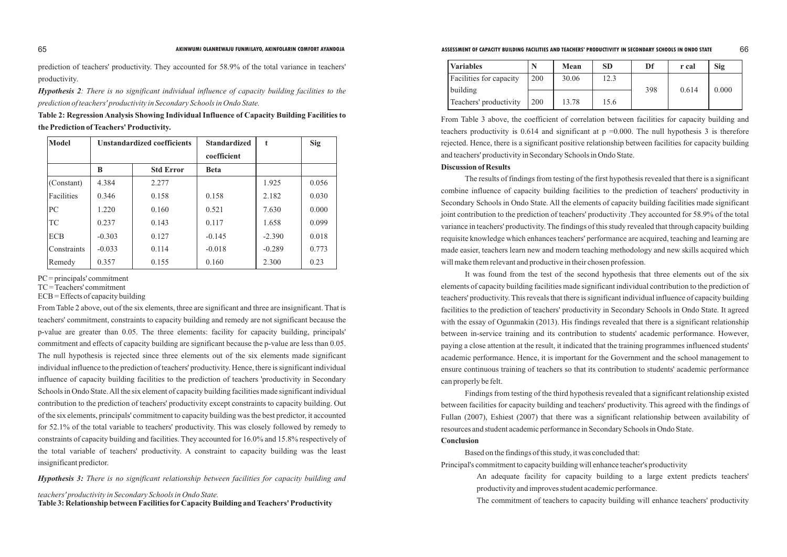prediction of teachers' productivity. They accounted for 58.9% of the total variance in teachers' productivity.

*Hypothesis 2: There is no significant individual influence of capacity building facilities to the prediction of teachers' productivity in Secondary Schools in Ondo State.*

| Table 2: Regression Analysis Showing Individual Influence of Capacity Building Facilities to |
|----------------------------------------------------------------------------------------------|
| the Prediction of Teachers' Productivity.                                                    |

| Model       | <b>Unstandardized coefficients</b> |                  | <b>Standardized</b> | t        | <b>Sig</b> |
|-------------|------------------------------------|------------------|---------------------|----------|------------|
|             |                                    |                  | coefficient         |          |            |
|             | B                                  | <b>Std Error</b> | <b>Beta</b>         |          |            |
| (Constant)  | 4.384                              | 2.277            |                     | 1.925    | 0.056      |
| Facilities  | 0.346                              | 0.158            | 0.158               | 2.182    | 0.030      |
| PC          | 1.220                              | 0.160            | 0.521               | 7.630    | 0.000      |
| <b>TC</b>   | 0.237                              | 0.143            | 0.117               | 1.658    | 0.099      |
| <b>ECB</b>  | $-0.303$                           | 0.127            | $-0.145$            | $-2.390$ | 0.018      |
| Constraints | $-0.033$                           | 0.114            | $-0.018$            | $-0.289$ | 0.773      |
| Remedy      | 0.357                              | 0.155            | 0.160               | 2.300    | 0.23       |

PC = principals' commitment

TC = Teachers' commitment

ECB = Effects of capacity building

From Table 2 above, out of the six elements, three are significant and three are insignificant. That is teachers' commitment, constraints to capacity building and remedy are not significant because the p-value are greater than 0.05. The three elements: facility for capacity building, principals' commitment and effects of capacity building are significant because the p-value are less than 0.05. The null hypothesis is rejected since three elements out of the six elements made significant individual influence to the prediction of teachers' productivity. Hence, there is significant individual influence of capacity building facilities to the prediction of teachers 'productivity in Secondary Schools in Ondo State. All the six element of capacity building facilities made significant individual contribution to the prediction of teachers' productivity except constraints to capacity building. Out of the six elements, principals' commitment to capacity building was the best predictor, it accounted for 52.1% of the total variable to teachers' productivity. This was closely followed by remedy to constraints of capacity building and facilities. They accounted for 16.0% and 15.8% respectively of the total variable of teachers' productivity. A constraint to capacity building was the least insignificant predictor.

*Hypothesis 3: There is no significant relationship between facilities for capacity building and* 

*teachers' productivity in Secondary Schools in Ondo State.*

**Table 3: Relationship between Facilities forCapacity Building and Teachers' Productivity**

| <b>Variables</b>               |     | <b>Mean</b> | <b>SD</b> | Df  | r cal | Sig   |
|--------------------------------|-----|-------------|-----------|-----|-------|-------|
| <b>Facilities for capacity</b> | 200 | 30.06       | 12.3      |     |       |       |
| building                       |     |             |           | 398 | 0.614 | 0.000 |
| Teachers' productivity         | 200 | 13.78       | 15.6      |     |       |       |

From Table 3 above, the coefficient of correlation between facilities for capacity building and teachers productivity is 0.614 and significant at  $p = 0.000$ . The null hypothesis 3 is therefore rejected. Hence, there is a significant positive relationship between facilities for capacity building and teachers' productivity in Secondary Schools in Ondo State. **Discussion of Results**

The results of findings from testing of the first hypothesis revealed that there is a significant combine influence of capacity building facilities to the prediction of teachers' productivity in Secondary Schools in Ondo State. All the elements of capacity building facilities made significant joint contribution to the prediction of teachers' productivity .They accounted for 58.9% of the total variance in teachers' productivity. The findings of this study revealed that through capacity building requisite knowledge which enhances teachers' performance are acquired, teaching and learning are made easier, teachers learn new and modern teaching methodology and new skills acquired which will make them relevant and productive in their chosen profession.

It was found from the test of the second hypothesis that three elements out of the six elements of capacity building facilities made significant individual contribution to the prediction of teachers' productivity. This reveals that there is significant individual influence of capacity building facilities to the prediction of teachers' productivity in Secondary Schools in Ondo State. It agreed with the essay of Ogunmakin (2013). His findings revealed that there is a significant relationship between in-service training and its contribution to students' academic performance. However, paying a close attention at the result, it indicated that the training programmes influenced students' academic performance. Hence, it is important for the Government and the school management to ensure continuous training of teachers so that its contribution to students' academic performance can properly be felt.

Findings from testing of the third hypothesis revealed that a significant relationship existed between facilities for capacity building and teachers' productivity. This agreed with the findings of Fullan (2007), Eshiest (2007) that there was a significant relationship between availability of resources and student academic performance in Secondary Schools in Ondo State. **Conclusion**

Based on the findings of this study, it was concluded that: Principal's commitment to capacity building will enhance teacher's productivity An adequate facility for capacity building to a large extent predicts teachers' productivity and improves student academic performance. The commitment of teachers to capacity building will enhance teachers' productivity